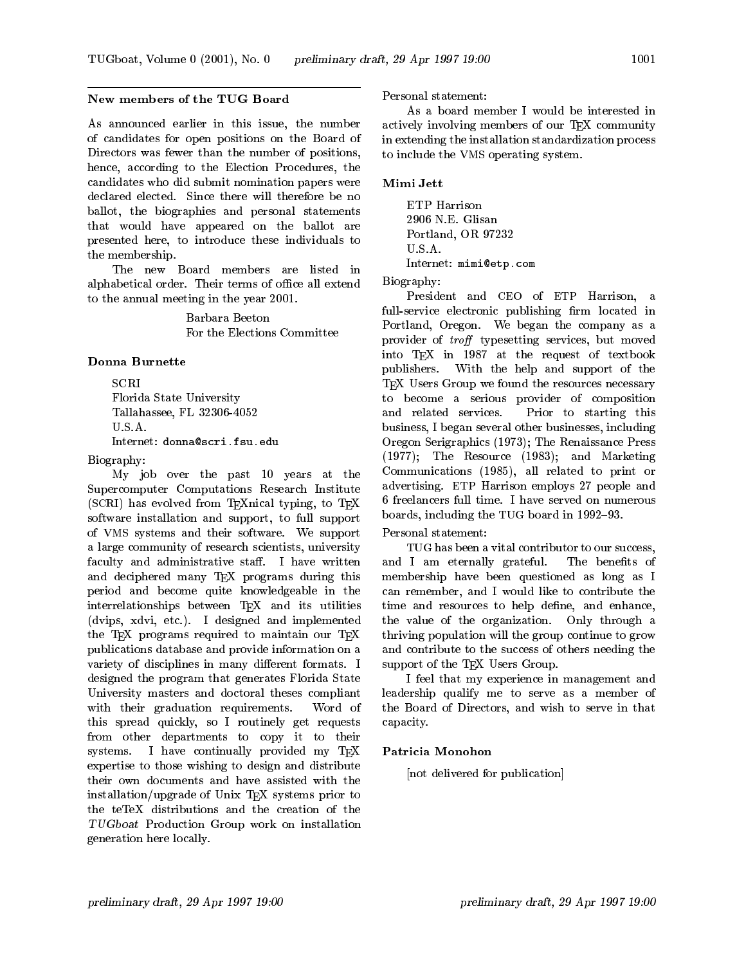## New members of the TUG Board

As announced earlier in this issue, the number of candidates for open positions on the Board of Directors was fewer than the number of positions, hence, according to the Election Procedures, the candidates who did submit nomination papers were Mimi Jett declared elected. Since there will therefore be no<br>
Latter the class of the class of the class of the class of the class of the class of the class of the class of ballot, the biographies and personal statements that would have appeared on the ballot are presented here, to introduce these individuals to the membership.

The new Board members are listed in alphabetical order. Their terms of office all extend to the annual meeting in the year 2001.

> Barbara Beeton For the Elections Committee

# **Donna Burnette**

Florida State University Tallahassee, FL 32306-4052 U.S.A.

Internet: donna@scri.fsu.edu

Biography:

My job over the past 10 years at the Supercomputer Computations Research Institute (SCRI) has evolved from TEXnical typing, to TEX software installation and support, to full support of VMS systems and their software. We support a large community of research scientists, university faculty and administrative staff. I have written and deciphered many TEX programs during this period and become quite knowledgeable in the interrelationships between TEX and its utilities (dvips, xdvi, etc.). I designed and implemented the TEX programs required to maintain our TEX publications database and provide information on a variety of disciplines in many different formats. I designed the program that generates Florida State University masters and doctoral theses compliant with their graduation requirements. Word of this spread quickly, so I routinely get requests from other departments to copy it to their systems. I have continually provided my  $T\not\vdash X$ expertise to those wishing to design and distribute their own documents and have assisted with the installation/upgrade of Unix TEX systems prior to the teTeX distributions and the creation of the TUGboat Production Group work on installation generation here locally.

Personal statement:

As a board member I would be interested in actively involving members of our T<sub>E</sub>X community in extending the installation standardization process to include the VMS operating system.

2906 N.E. Glisan Portland, OR 97232 U.S.A. Internet: mimi@etp.com

Biography:

President and CEO of ETP Harrison, a  $full$ -service electronic publishing firm located in Portland, Oregon. We began the company as a provider of *troff* typesetting services, but moved into TEX in 1987 at the request of textbook publishers. With the help and support of the TEX Users Group we found the resources necessary to become a serious provider of composition and related services. Prior to starting this business, I began several other businesses, including Oregon Serigraphics (1973); The Renaissance Press (1977); The Resource (1983); and Marketing Communications (1985), all related to print or advertising. ETP Harrison employs 27 people and 6 freelancers full time. I have served on numerous boards, including the TUG board in 1992-93.

## Personal statement:

TUG has been a vital contributor to our success, and I am eternally grateful. The benefits of membership have been questioned as long as I can remember, and I would like to contribute the time and resources to help define, and enhance, the value of the organization. Only through a thriving population will the group continue to grow and contribute to the success of others needing the support of the TEX Users Group.

I feel that my experience in management and leadership qualify me to serve as a member of the Board of Directors, and wish to serve in that capacity.

### Patricia Monohon

[not delivered for publication]